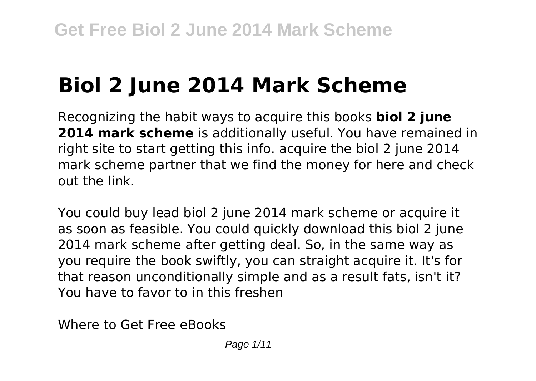# **Biol 2 June 2014 Mark Scheme**

Recognizing the habit ways to acquire this books **biol 2 june 2014 mark scheme** is additionally useful. You have remained in right site to start getting this info. acquire the biol 2 june 2014 mark scheme partner that we find the money for here and check out the link.

You could buy lead biol 2 june 2014 mark scheme or acquire it as soon as feasible. You could quickly download this biol 2 june 2014 mark scheme after getting deal. So, in the same way as you require the book swiftly, you can straight acquire it. It's for that reason unconditionally simple and as a result fats, isn't it? You have to favor to in this freshen

Where to Get Free eBooks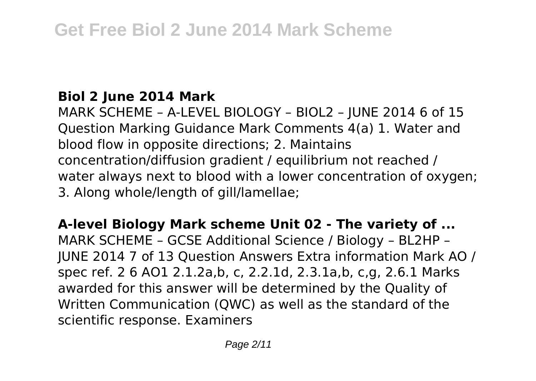### **Biol 2 June 2014 Mark**

MARK SCHEME – A-LEVEL BIOLOGY – BIOL2 – JUNE 2014 6 of 15 Question Marking Guidance Mark Comments 4(a) 1. Water and blood flow in opposite directions; 2. Maintains concentration/diffusion gradient / equilibrium not reached / water always next to blood with a lower concentration of oxygen; 3. Along whole/length of gill/lamellae;

**A-level Biology Mark scheme Unit 02 - The variety of ...** MARK SCHEME – GCSE Additional Science / Biology – BL2HP – JUNE 2014 7 of 13 Question Answers Extra information Mark AO / spec ref. 2 6 AO1 2.1.2a,b, c, 2.2.1d, 2.3.1a,b, c,g, 2.6.1 Marks awarded for this answer will be determined by the Quality of Written Communication (QWC) as well as the standard of the scientific response. Examiners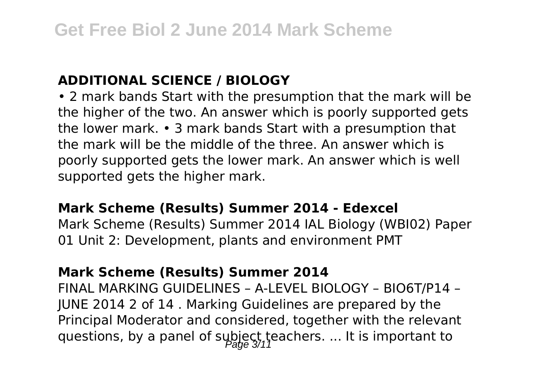#### **ADDITIONAL SCIENCE / BIOLOGY**

• 2 mark bands Start with the presumption that the mark will be the higher of the two. An answer which is poorly supported gets the lower mark. • 3 mark bands Start with a presumption that the mark will be the middle of the three. An answer which is poorly supported gets the lower mark. An answer which is well supported gets the higher mark.

#### **Mark Scheme (Results) Summer 2014 - Edexcel**

Mark Scheme (Results) Summer 2014 IAL Biology (WBI02) Paper 01 Unit 2: Development, plants and environment PMT

#### **Mark Scheme (Results) Summer 2014**

FINAL MARKING GUIDELINES – A-LEVEL BIOLOGY – BIO6T/P14 – JUNE 2014 2 of 14 . Marking Guidelines are prepared by the Principal Moderator and considered, together with the relevant questions, by a panel of subject teachers. ... It is important to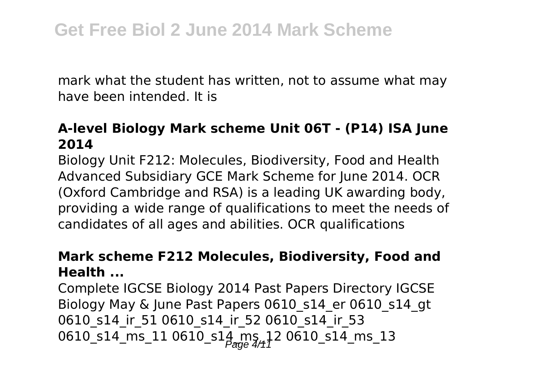mark what the student has written, not to assume what may have been intended. It is

#### **A-level Biology Mark scheme Unit 06T - (P14) ISA June 2014**

Biology Unit F212: Molecules, Biodiversity, Food and Health Advanced Subsidiary GCE Mark Scheme for June 2014. OCR (Oxford Cambridge and RSA) is a leading UK awarding body, providing a wide range of qualifications to meet the needs of candidates of all ages and abilities. OCR qualifications

#### **Mark scheme F212 Molecules, Biodiversity, Food and Health ...**

Complete IGCSE Biology 2014 Past Papers Directory IGCSE Biology May & June Past Papers 0610 s14 er 0610 s14 gt 0610 s14 ir 51 0610 s14 ir 52 0610 s14 ir 53 0610\_s14\_ms\_11 0610\_s14\_ms\_12 0610\_s14\_ms\_13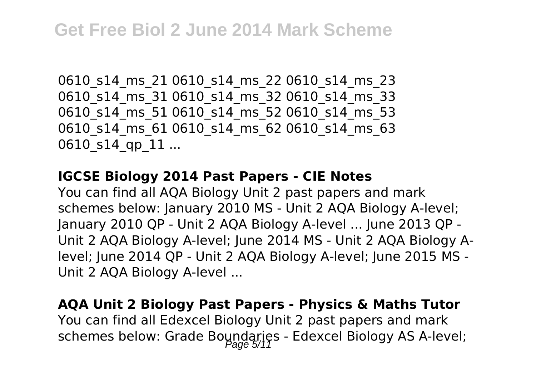0610 s14 ms 21 0610 s14 ms 22 0610 s14 ms 23 0610 s14 ms 31 0610 s14 ms 32 0610 s14 ms 33 0610 s14 ms 51 0610 s14 ms 52 0610 s14 ms 53 0610 s14 ms 61 0610 s14 ms 62 0610 s14 ms 63 0610 s14 qp 11 ...

#### **IGCSE Biology 2014 Past Papers - CIE Notes**

You can find all AQA Biology Unit 2 past papers and mark schemes below: January 2010 MS - Unit 2 AQA Biology A-level; January 2010 QP - Unit 2 AQA Biology A-level ... June 2013 QP - Unit 2 AQA Biology A-level; June 2014 MS - Unit 2 AQA Biology Alevel; June 2014 QP - Unit 2 AQA Biology A-level; June 2015 MS - Unit 2 AQA Biology A-level ...

### **AQA Unit 2 Biology Past Papers - Physics & Maths Tutor** You can find all Edexcel Biology Unit 2 past papers and mark schemes below: Grade Boundaries - Edexcel Biology AS A-level;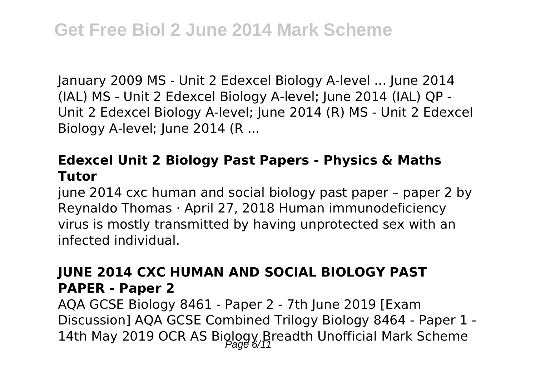January 2009 MS - Unit 2 Edexcel Biology A-level ... June 2014 (IAL) MS - Unit 2 Edexcel Biology A-level; June 2014 (IAL) QP - Unit 2 Edexcel Biology A-level; June 2014 (R) MS - Unit 2 Edexcel Biology A-level; June 2014 (R ...

#### **Edexcel Unit 2 Biology Past Papers - Physics & Maths Tutor**

june 2014 cxc human and social biology past paper - paper 2 by Reynaldo Thomas · April 27, 2018 Human immunodeficiency virus is mostly transmitted by having unprotected sex with an infected individual.

#### **JUNE 2014 CXC HUMAN AND SOCIAL BIOLOGY PAST PAPER - Paper 2**

AQA GCSE Biology 8461 - Paper 2 - 7th June 2019 [Exam Discussion] AQA GCSE Combined Trilogy Biology 8464 - Paper 1 - 14th May 2019 OCR AS Biology Breadth Unofficial Mark Scheme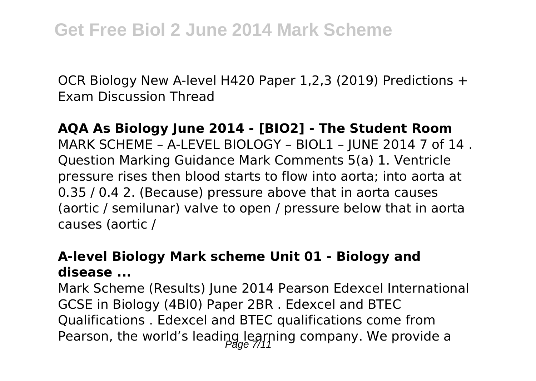OCR Biology New A-level H420 Paper 1,2,3 (2019) Predictions + Exam Discussion Thread

#### **AQA As Biology June 2014 - [BIO2] - The Student Room**

MARK SCHEME – A-LEVEL BIOLOGY – BIOL1 – JUNE 2014 7 of 14 . Question Marking Guidance Mark Comments 5(a) 1. Ventricle pressure rises then blood starts to flow into aorta; into aorta at 0.35 / 0.4 2. (Because) pressure above that in aorta causes (aortic / semilunar) valve to open / pressure below that in aorta causes (aortic /

#### **A-level Biology Mark scheme Unit 01 - Biology and disease ...**

Mark Scheme (Results) June 2014 Pearson Edexcel International GCSE in Biology (4BI0) Paper 2BR . Edexcel and BTEC Qualifications . Edexcel and BTEC qualifications come from Pearson, the world's leading learning company. We provide a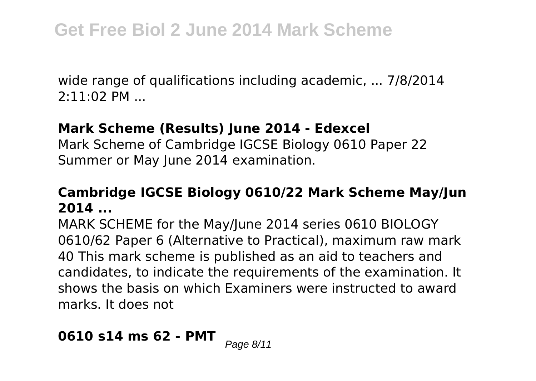wide range of qualifications including academic, ... 7/8/2014 2:11:02 PM ...

#### **Mark Scheme (Results) June 2014 - Edexcel**

Mark Scheme of Cambridge IGCSE Biology 0610 Paper 22 Summer or May June 2014 examination.

### **Cambridge IGCSE Biology 0610/22 Mark Scheme May/Jun 2014 ...**

MARK SCHEME for the May/June 2014 series 0610 BIOLOGY 0610/62 Paper 6 (Alternative to Practical), maximum raw mark 40 This mark scheme is published as an aid to teachers and candidates, to indicate the requirements of the examination. It shows the basis on which Examiners were instructed to award marks. It does not

# **0610 s14 ms 62 - PMT** Page 8/11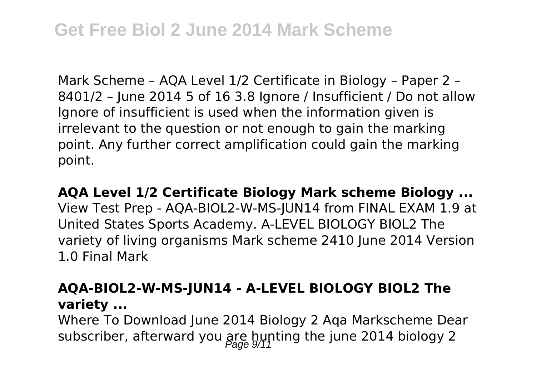# **Get Free Biol 2 June 2014 Mark Scheme**

Mark Scheme – AQA Level 1/2 Certificate in Biology – Paper 2 – 8401/2 – June 2014 5 of 16 3.8 Ignore / Insufficient / Do not allow Ignore of insufficient is used when the information given is irrelevant to the question or not enough to gain the marking point. Any further correct amplification could gain the marking point.

#### **AQA Level 1/2 Certificate Biology Mark scheme Biology ...**

View Test Prep - AQA-BIOL2-W-MS-JUN14 from FINAL EXAM 1.9 at United States Sports Academy. A-LEVEL BIOLOGY BIOL2 The variety of living organisms Mark scheme 2410 June 2014 Version 1.0 Final Mark

#### **AQA-BIOL2-W-MS-JUN14 - A-LEVEL BIOLOGY BIOL2 The variety ...**

Where To Download June 2014 Biology 2 Aqa Markscheme Dear subscriber, afterward you  $\frac{\partial P}{\partial q}$  bynting the june 2014 biology 2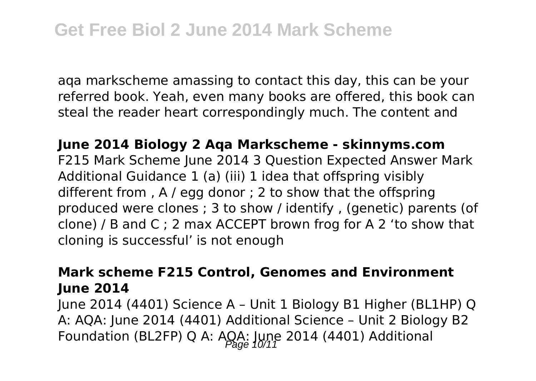aqa markscheme amassing to contact this day, this can be your referred book. Yeah, even many books are offered, this book can steal the reader heart correspondingly much. The content and

**June 2014 Biology 2 Aqa Markscheme - skinnyms.com** F215 Mark Scheme June 2014 3 Question Expected Answer Mark Additional Guidance 1 (a) (iii) 1 idea that offspring visibly different from , A / egg donor ; 2 to show that the offspring produced were clones ; 3 to show / identify , (genetic) parents (of clone) / B and C ; 2 max ACCEPT brown frog for A 2 'to show that cloning is successful' is not enough

#### **Mark scheme F215 Control, Genomes and Environment June 2014**

June 2014 (4401) Science A – Unit 1 Biology B1 Higher (BL1HP) Q A: AQA: June 2014 (4401) Additional Science – Unit 2 Biology B2 Foundation (BL2FP) Q A:  $AGA$ : June 2014 (4401) Additional